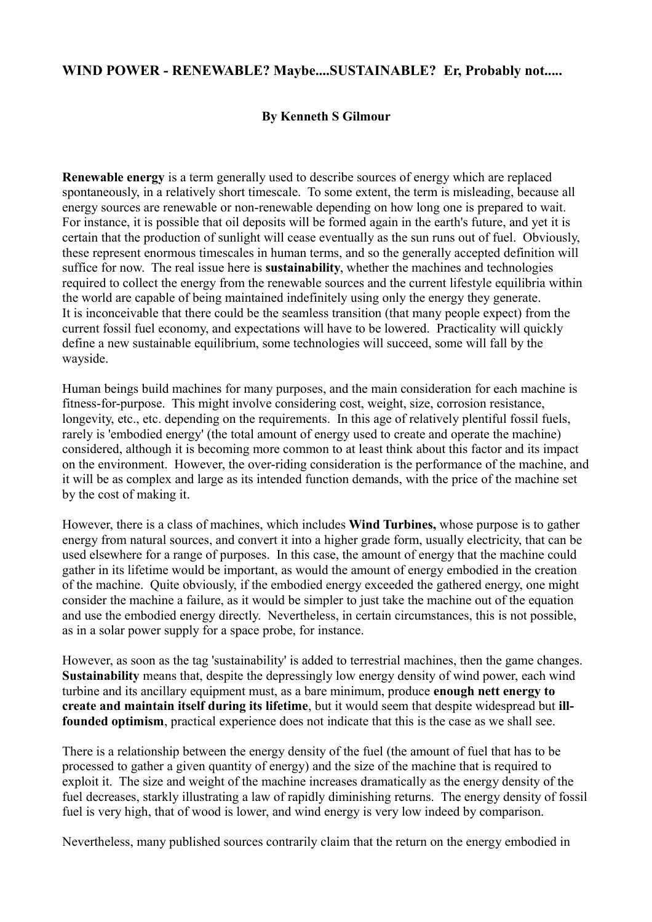## **WIND POWER - RENEWABLE? Maybe....SUSTAINABLE? Er, Probably not.....**

## **By Kenneth S Gilmour**

**Renewable energy** is a term generally used to describe sources of energy which are replaced spontaneously, in a relatively short timescale. To some extent, the term is misleading, because all energy sources are renewable or non-renewable depending on how long one is prepared to wait. For instance, it is possible that oil deposits will be formed again in the earth's future, and yet it is certain that the production of sunlight will cease eventually as the sun runs out of fuel. Obviously, these represent enormous timescales in human terms, and so the generally accepted definition will suffice for now. The real issue here is **sustainability**, whether the machines and technologies required to collect the energy from the renewable sources and the current lifestyle equilibria within the world are capable of being maintained indefinitely using only the energy they generate. It is inconceivable that there could be the seamless transition (that many people expect) from the current fossil fuel economy, and expectations will have to be lowered. Practicality will quickly define a new sustainable equilibrium, some technologies will succeed, some will fall by the wayside.

Human beings build machines for many purposes, and the main consideration for each machine is fitness-for-purpose. This might involve considering cost, weight, size, corrosion resistance, longevity, etc., etc. depending on the requirements. In this age of relatively plentiful fossil fuels, rarely is 'embodied energy' (the total amount of energy used to create and operate the machine) considered, although it is becoming more common to at least think about this factor and its impact on the environment. However, the over-riding consideration is the performance of the machine, and it will be as complex and large as its intended function demands, with the price of the machine set by the cost of making it.

However, there is a class of machines, which includes **Wind Turbines,** whose purpose is to gather energy from natural sources, and convert it into a higher grade form, usually electricity, that can be used elsewhere for a range of purposes. In this case, the amount of energy that the machine could gather in its lifetime would be important, as would the amount of energy embodied in the creation of the machine. Quite obviously, if the embodied energy exceeded the gathered energy, one might consider the machine a failure, as it would be simpler to just take the machine out of the equation and use the embodied energy directly. Nevertheless, in certain circumstances, this is not possible, as in a solar power supply for a space probe, for instance.

However, as soon as the tag 'sustainability' is added to terrestrial machines, then the game changes. **Sustainability** means that, despite the depressingly low energy density of wind power, each wind turbine and its ancillary equipment must, as a bare minimum, produce **enough nett energy to create and maintain itself during its lifetime**, but it would seem that despite widespread but **illfounded optimism**, practical experience does not indicate that this is the case as we shall see.

There is a relationship between the energy density of the fuel (the amount of fuel that has to be processed to gather a given quantity of energy) and the size of the machine that is required to exploit it. The size and weight of the machine increases dramatically as the energy density of the fuel decreases, starkly illustrating a law of rapidly diminishing returns. The energy density of fossil fuel is very high, that of wood is lower, and wind energy is very low indeed by comparison.

Nevertheless, many published sources contrarily claim that the return on the energy embodied in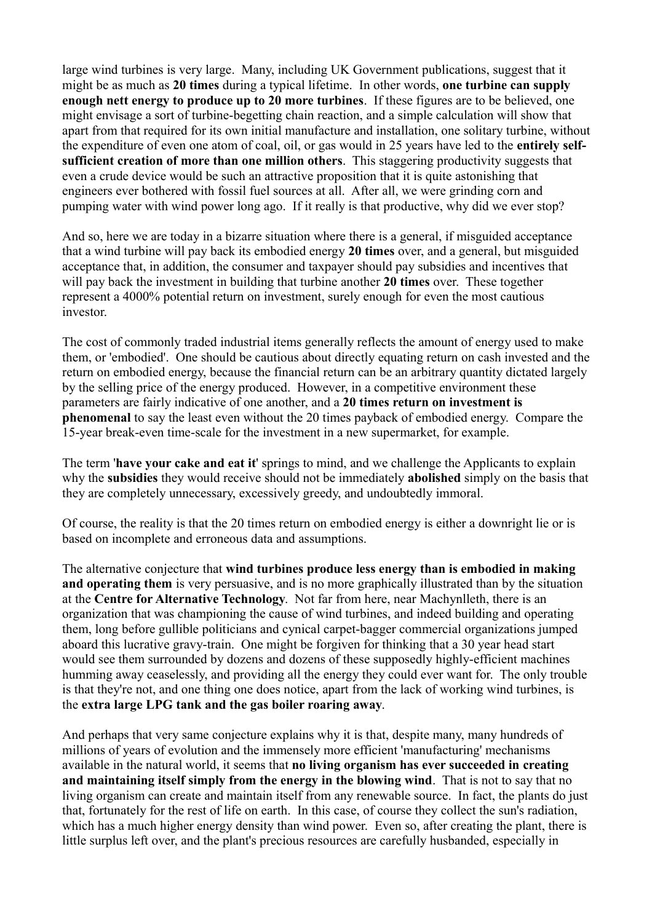large wind turbines is very large. Many, including UK Government publications, suggest that it might be as much as **20 times** during a typical lifetime. In other words, **one turbine can supply enough nett energy to produce up to 20 more turbines**. If these figures are to be believed, one might envisage a sort of turbine-begetting chain reaction, and a simple calculation will show that apart from that required for its own initial manufacture and installation, one solitary turbine, without the expenditure of even one atom of coal, oil, or gas would in 25 years have led to the **entirely selfsufficient creation of more than one million others**. This staggering productivity suggests that even a crude device would be such an attractive proposition that it is quite astonishing that engineers ever bothered with fossil fuel sources at all. After all, we were grinding corn and pumping water with wind power long ago. If it really is that productive, why did we ever stop?

And so, here we are today in a bizarre situation where there is a general, if misguided acceptance that a wind turbine will pay back its embodied energy **20 times** over, and a general, but misguided acceptance that, in addition, the consumer and taxpayer should pay subsidies and incentives that will pay back the investment in building that turbine another **20 times** over. These together represent a 4000% potential return on investment, surely enough for even the most cautious investor.

The cost of commonly traded industrial items generally reflects the amount of energy used to make them, or 'embodied'. One should be cautious about directly equating return on cash invested and the return on embodied energy, because the financial return can be an arbitrary quantity dictated largely by the selling price of the energy produced. However, in a competitive environment these parameters are fairly indicative of one another, and a **20 times return on investment is phenomenal** to say the least even without the 20 times payback of embodied energy. Compare the 15-year break-even time-scale for the investment in a new supermarket, for example.

The term '**have your cake and eat it**' springs to mind, and we challenge the Applicants to explain why the **subsidies** they would receive should not be immediately **abolished** simply on the basis that they are completely unnecessary, excessively greedy, and undoubtedly immoral.

Of course, the reality is that the 20 times return on embodied energy is either a downright lie or is based on incomplete and erroneous data and assumptions.

The alternative conjecture that **wind turbines produce less energy than is embodied in making and operating them** is very persuasive, and is no more graphically illustrated than by the situation at the **Centre for Alternative Technology**. Not far from here, near Machynlleth, there is an organization that was championing the cause of wind turbines, and indeed building and operating them, long before gullible politicians and cynical carpet-bagger commercial organizations jumped aboard this lucrative gravy-train. One might be forgiven for thinking that a 30 year head start would see them surrounded by dozens and dozens of these supposedly highly-efficient machines humming away ceaselessly, and providing all the energy they could ever want for. The only trouble is that they're not, and one thing one does notice, apart from the lack of working wind turbines, is the **extra large LPG tank and the gas boiler roaring away**.

And perhaps that very same conjecture explains why it is that, despite many, many hundreds of millions of years of evolution and the immensely more efficient 'manufacturing' mechanisms available in the natural world, it seems that **no living organism has ever succeeded in creating and maintaining itself simply from the energy in the blowing wind**. That is not to say that no living organism can create and maintain itself from any renewable source. In fact, the plants do just that, fortunately for the rest of life on earth. In this case, of course they collect the sun's radiation, which has a much higher energy density than wind power. Even so, after creating the plant, there is little surplus left over, and the plant's precious resources are carefully husbanded, especially in